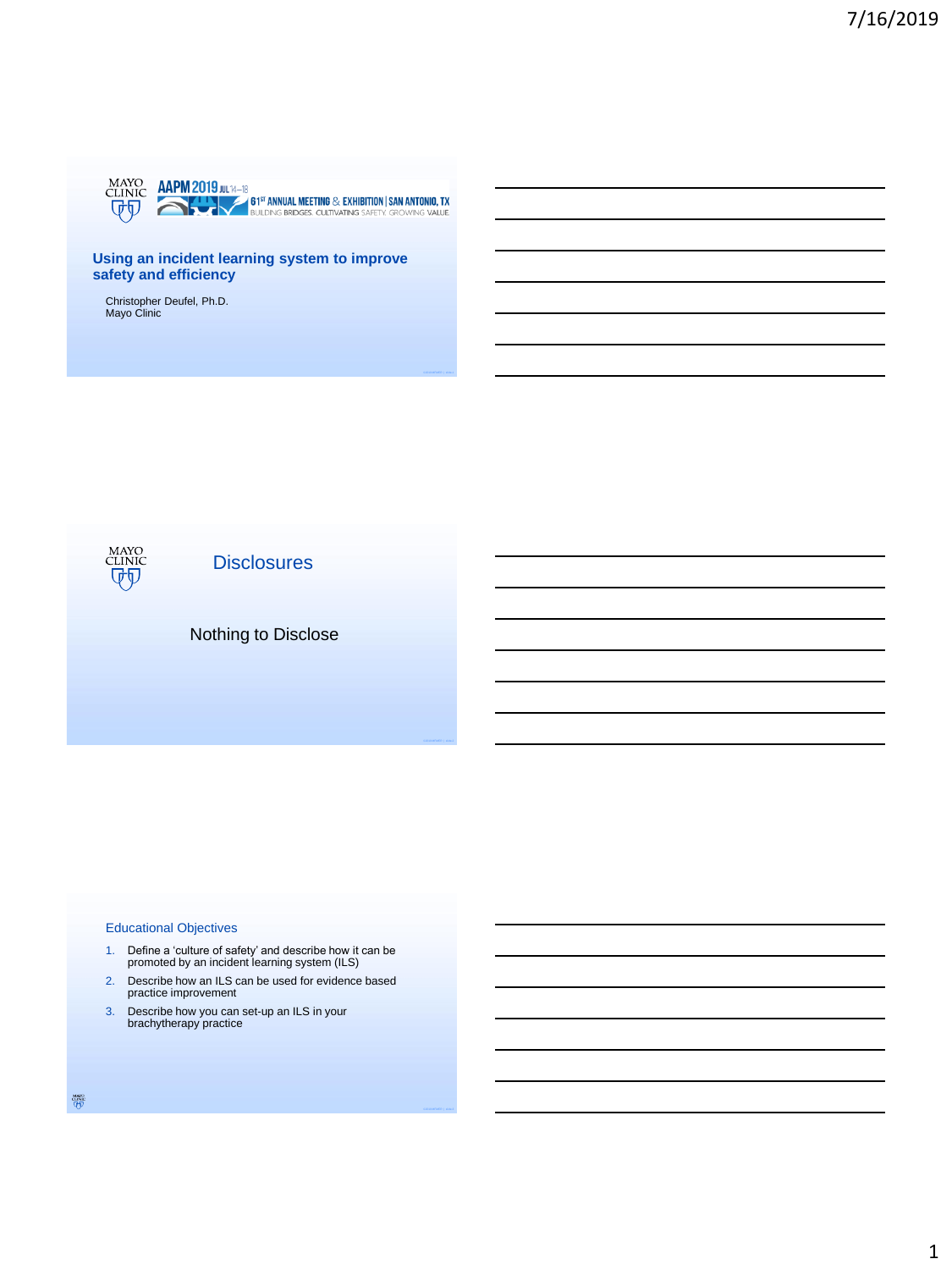

## **Using an incident learning system to improve safety and efficiency**

Christopher Deufel, Ph.D. Mayo Clinic



**Disclosures** 

# Nothing to Disclose

#### Educational Objectives

- 1. Define a 'culture of safety' and describe how it can be promoted by an incident learning system (ILS)
- 2. Describe how an ILS can be used for evidence based practice improvement
- 3. Describe how you can set-up an ILS in your brachytherapy practice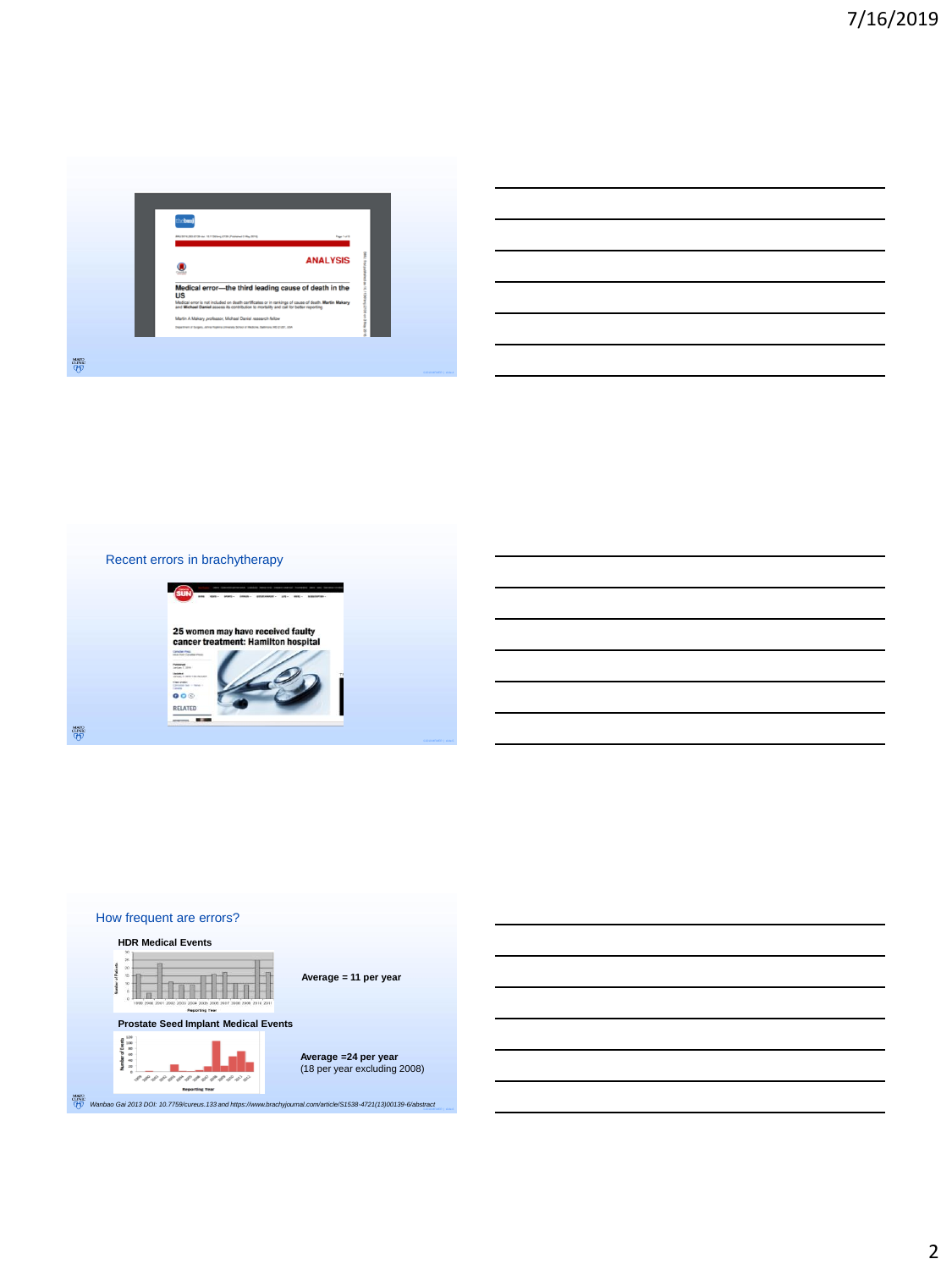





2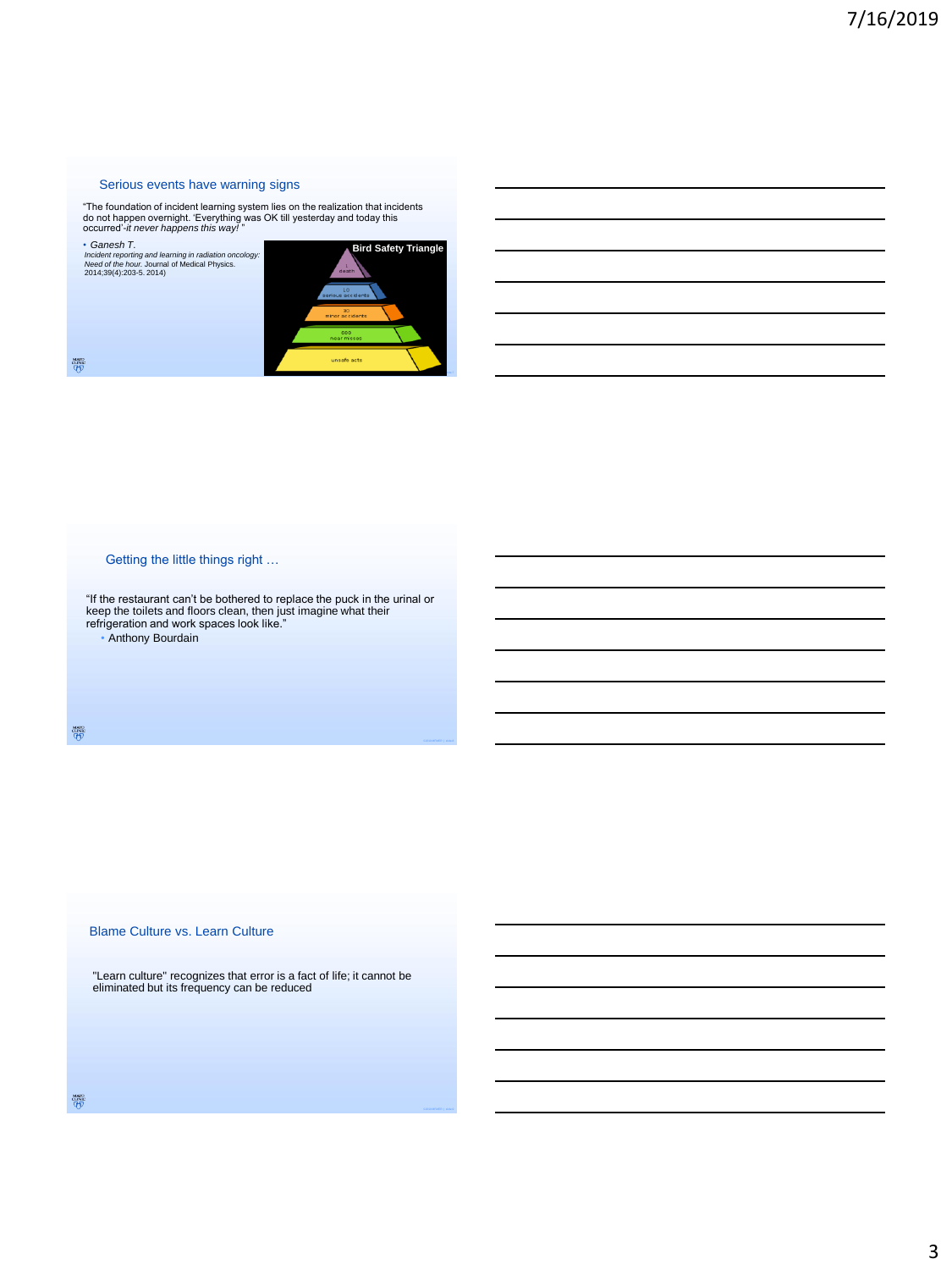#### Serious events have warning signs

"The foundation of incident learning system lies on the realization that incidents do not happen overnight. 'Everything was OK till yesterday and today this occurred'-*it never happens this way!* "

• *Ganesh T*.

*Incident reporting and learning in radiation oncology: Need of the hour.* Journal of Medical Physics. 2014;39(4):203-5. 2014)



鬱

## Getting the little things right …

"If the restaurant can't be bothered to replace the puck in the urinal or keep the toilets and floors clean, then just imagine what their refrigeration and work spaces look like."

• Anthony Bourdain

 $\frac{\text{www}}{\text{cmnc}}$ 

#### Blame Culture vs. Learn Culture

"Learn culture" recognizes that error is a fact of life; it cannot be eliminated but its frequency can be reduced

鬱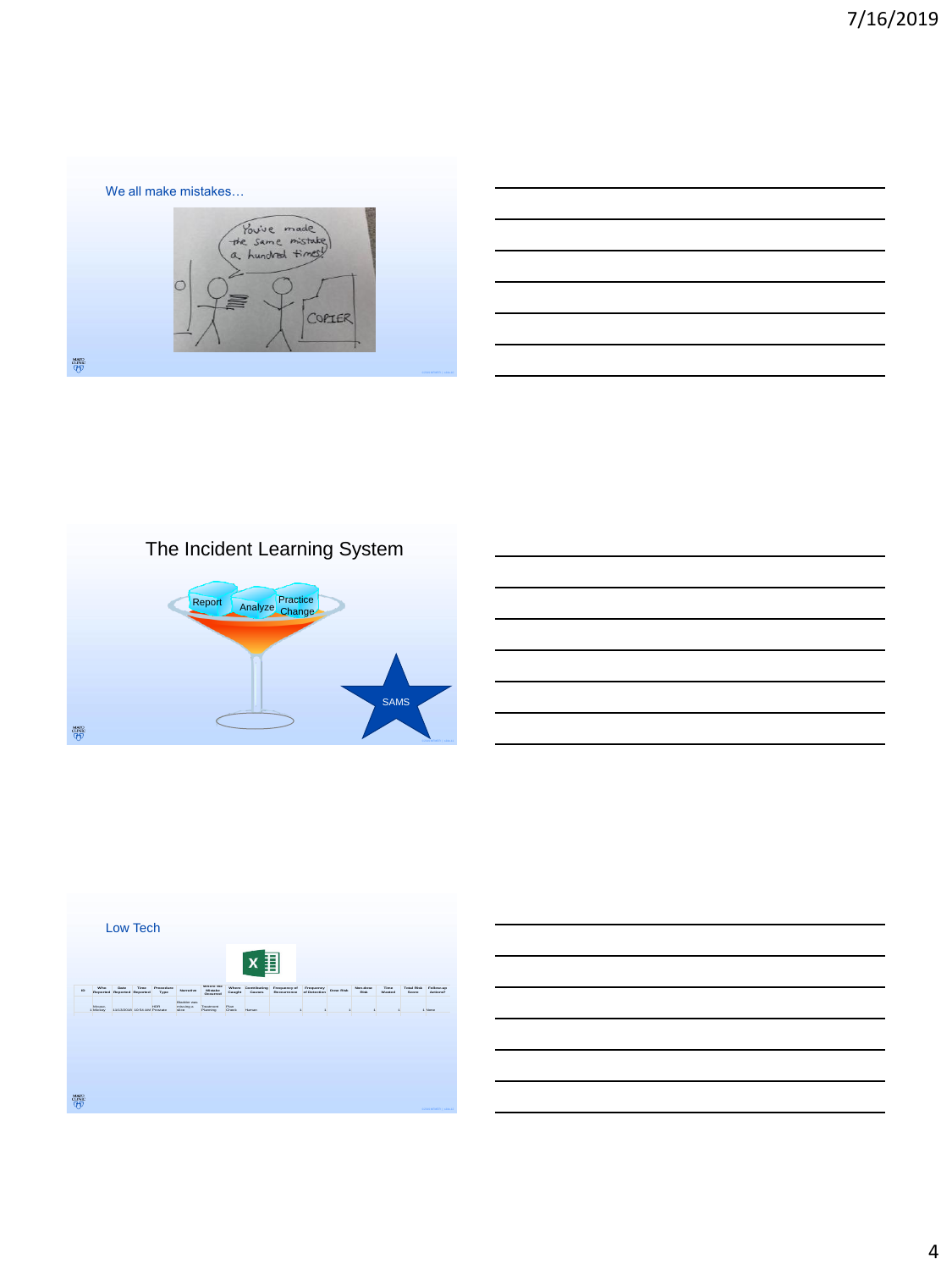









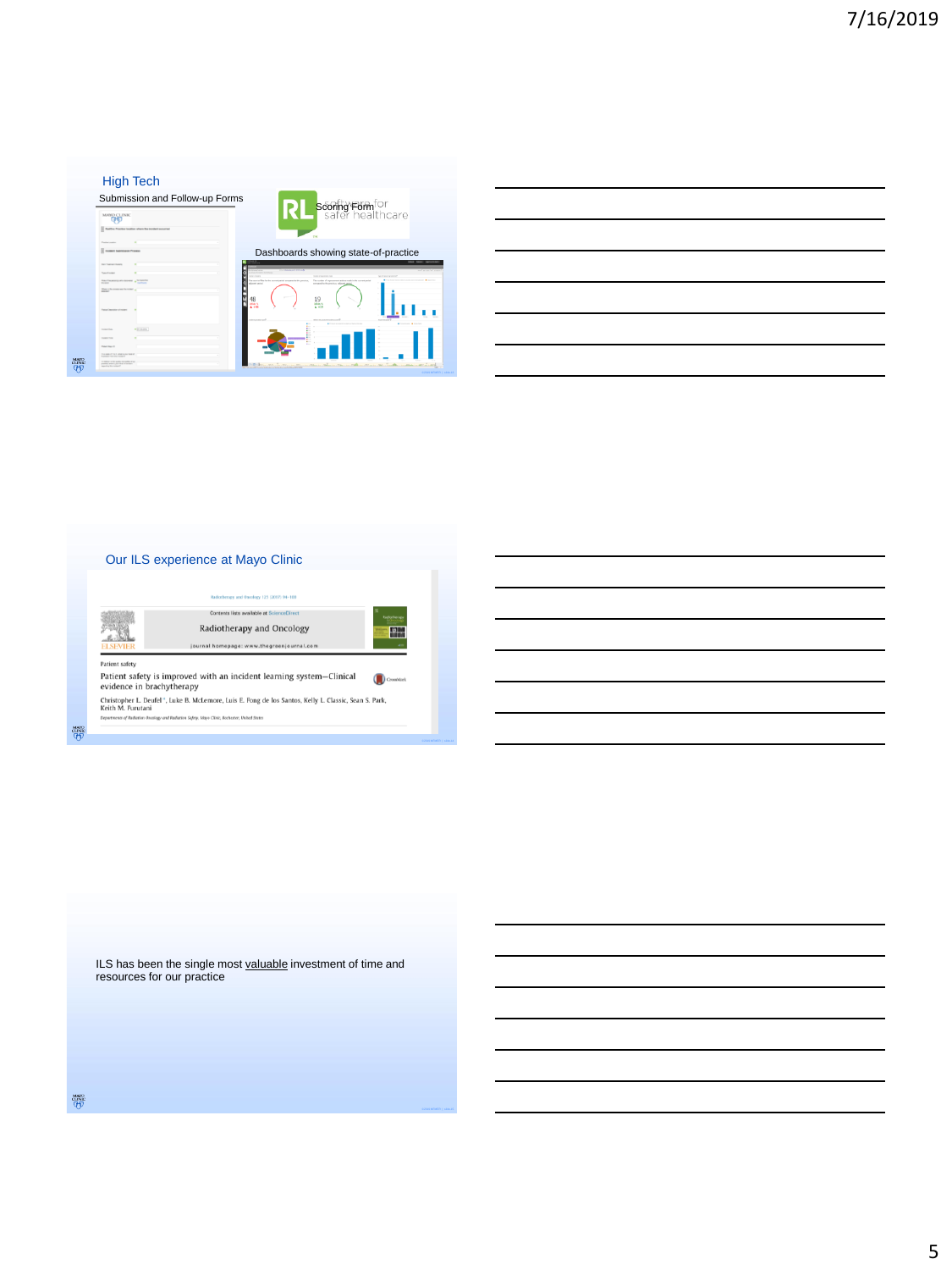| Submission and Follow-up Forms                                         |                                                                                                                                                                                            |
|------------------------------------------------------------------------|--------------------------------------------------------------------------------------------------------------------------------------------------------------------------------------------|
| <b>MAYO CLINK</b><br><b>CHE</b>                                        | scoring Form <sup>for</sup><br>safer healthcare                                                                                                                                            |
| Tuette Parter tester when he instert scored                            |                                                                                                                                                                                            |
| Parties Louis                                                          |                                                                                                                                                                                            |
| <b>E traited Submission Process</b>                                    | Dashboards showing state-of-practice                                                                                                                                                       |
| <b>No. Trainer Roads</b>                                               |                                                                                                                                                                                            |
| Secretary                                                              | ______<br><b><i><u>Property</u></i></b>                                                                                                                                                    |
| harborers an accept a back<br>-<br><b>STATISTICS</b>                   | The currican of insura moves actions much in the current certain<br>to must of find to the sumset paint around to the emission.<br><b>Committee</b><br>personal is the conduct selected up |
| Want to be proven was the recent as<br>=                               |                                                                                                                                                                                            |
| <b>Test of Teaching of collect</b>                                     | 19<br><b>SEAN N</b><br>4.11<br><b>Allenand Allena</b>                                                                                                                                      |
| with sums.<br><b>STATISTICS</b>                                        |                                                                                                                                                                                            |
| <b>Service Corp.</b>                                                   |                                                                                                                                                                                            |
| <b>Tuber Hours III</b>                                                 |                                                                                                                                                                                            |
| household that and a purchase of<br><b>Substitute Sea Print Golden</b> |                                                                                                                                                                                            |
| is senior to the work were when it was<br>pains shown are the change.  | Billymannia Plants<br>There is a them are (There is a Title on The sea in the<br>$-$ 601 $-$ 1.01%                                                                                         |



ILS has been the single most **valuable** investment of time and resources for our practice

 $\frac{\text{MNN}}{\text{QFD}}$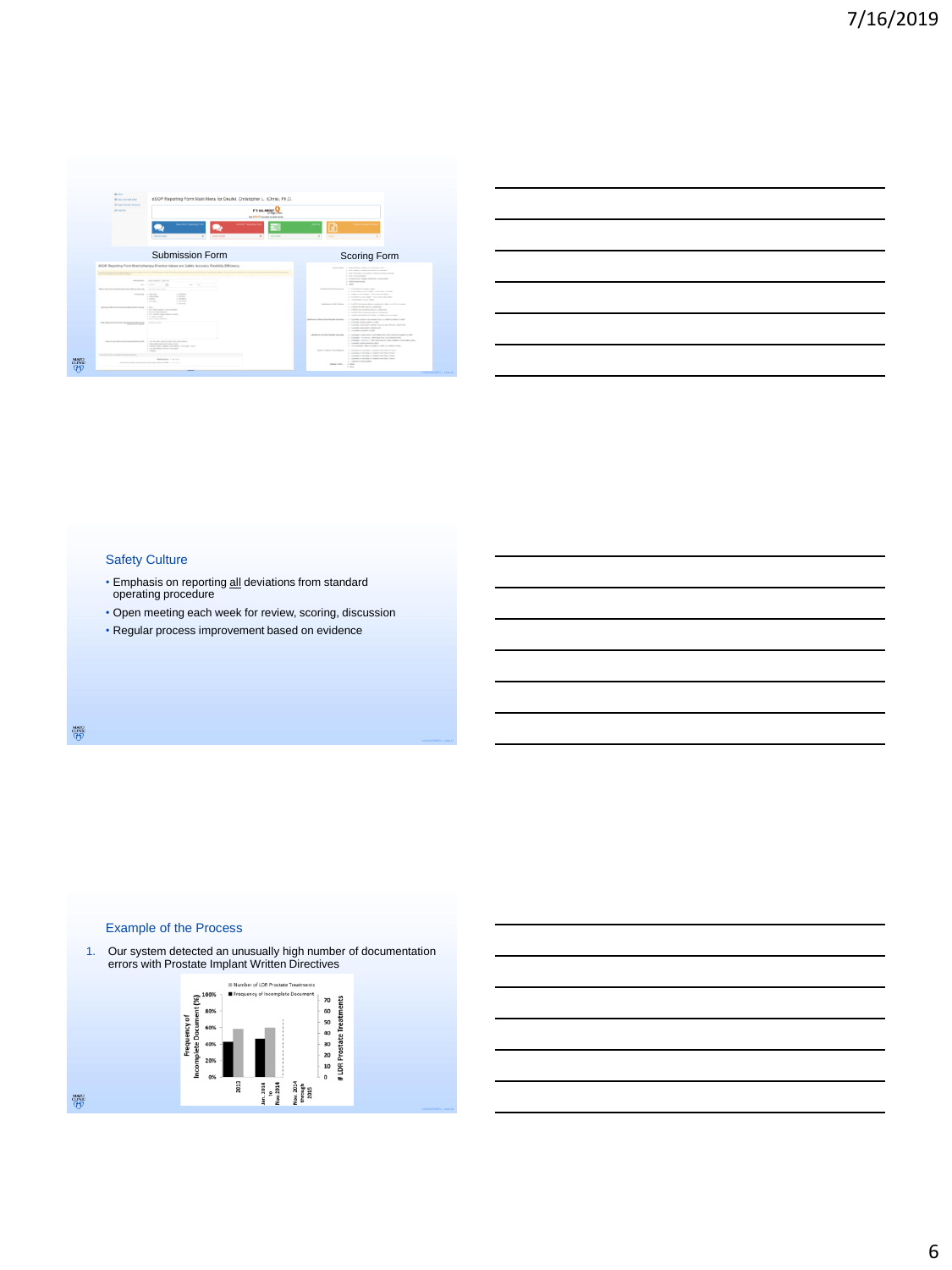| <b>A</b> Hotel<br>dSCP Reporting Form Main Menu for Deufel, Christopher L. (Chris), Ph.D.<br><b>B</b> the core can be<br><b>IF EXER WE WANTED</b><br><b>B</b> restore<br>IT'S ALL ANNUS                                                                  | of this care<br><b>Now 1974</b> , FT was seeke on prints were in                                                                                                                                                                                                                                         |
|----------------------------------------------------------------------------------------------------------------------------------------------------------------------------------------------------------------------------------------------------------|----------------------------------------------------------------------------------------------------------------------------------------------------------------------------------------------------------------------------------------------------------------------------------------------------------|
| <b>Collective Commerce Con-</b><br><b>Service Advisor Print</b><br><b>Building Sergen</b><br><b>Building Ferrards</b><br>٠<br>$\sim$<br>Submission Form<br>dSCP Reporting Form Brachetherapy Practice Volume and Solidy Accuracy Flexibility Efficiency. | श्चि<br><b>Barbaran</b><br><b>Texas</b><br>٠<br>Scoring Form                                                                                                                                                                                                                                             |
| Marineson: Court creaters, costs with<br>$\overline{\phantom{a}}$<br>$\sim$<br><b>Service</b><br>$\sim$                                                                                                                                                  | Norman is Aproved Mour Interesting<br>1. For such if who are other in terms<br>a first in this case of a table building material<br>a forestered<br>I have been trace detailed because<br>a basements.<br>$\frac{1}{2} \left( \frac{1}{2} \right) \left( \frac{1}{2} \right) \left( \frac{1}{2} \right)$ |
| ------<br><b>State Avenue</b><br><b>Contractor</b><br><b>CONTRACTOR</b><br><b>STATISTICS</b><br>$-0.004$<br><b>CONTRACTOR</b><br><b>COLLECT</b><br><b>COMPANY</b><br>a memory<br><b>CONTRACTOR</b>                                                       | <b>Christmas of The company</b><br>A 2 decision in them with<br>a material and state statements or costs<br>A 1990 Follow Mill - Allen Ave., Millerson<br>a 2 setten to such that you may 20 years.<br>at the property is stated that                                                                    |
| <b>Contractor</b><br>The Council Man Carolina Council as the American Council of the<br>a think many company is found<br>-<br>Literature and the count<br>1. No. 9. Transity, Printer, Texas and Con-<br><b><i><u>Property</u></i></b>                   | Understands follows - 1 1 of 2 statements to a statement this area (at the plane<br>a construction of the construction<br>A 10 YEAR OLD MARCH HE WAS CITED FOR<br>a 1-difference operating to a company<br>a 1,000 storage or main contemporary and                                                      |
| a fight come as military<br><b>Service Control</b><br>Bolly bracks the ATA and has the disposed policy was                                                                                                                                               | Archard of the Date Archael Scorting<br>is the product and a rest of the first and the second con-<br>to the process management or some<br>A TANKS consider subsequence of hit list and answers.<br>a Tomath published referenced<br>A 11 MILES COMPANY                                                  |
|                                                                                                                                                                                                                                                          |                                                                                                                                                                                                                                                                                                          |
| The property special control of the second<br>I I do not only only on the first product of the<br>A 17 Year country extractors a state change.<br>LA PORTABLE CORP. CANADA A TOLICO PRODUCT TRANSPORTATION                                               | cardinal stress future forests.<br>A 1-year-old a more over a set who was the warranty when a red<br>A CARD CARD CARD CARD CARD CARD CARD<br>a transfer to the air. We don't to the sender structure you.<br>a Turnitis and instruments offer<br>A 110 MARCH PRICE AND LODGED AT 10 MARCH 2122           |
| a transport and the control of the control<br><b>STATISTICS</b><br><b>REPORTED A STATE</b>                                                                                                                                                               | limit as former from thomas.<br>1. Canada e de solo a militar rus das Orientas<br>A FURNISH O RESERVE A DIRECTOR RELEASED.<br>A T-another and many in another crash flat a result.<br>a 1-year-old as detective or marketings than 2-year-<br>at 1 december 2010                                         |

| <u> 1989 - Johann Barn, amerikan bernama di sebagai bernama di sebagai bernama di sebagai bernama di sebagai bern</u> |  |                                                                                                                        |
|-----------------------------------------------------------------------------------------------------------------------|--|------------------------------------------------------------------------------------------------------------------------|
|                                                                                                                       |  |                                                                                                                        |
| the control of the control of the control of the control of                                                           |  | <u> London a long a long and a long a long and a long and a long and a long and a long and a long and a long and a</u> |
| <u> 1989 - Johann Stoff, deutscher Stoff, der Stoff, der Stoff, der Stoff, der Stoff, der Stoff, der Stoff, der S</u> |  |                                                                                                                        |
| <u> 1989 - Johann Barn, mars ann an t-Amhainn an t-Amhainn an t-Amhainn an t-Amhainn an t-Amhainn an t-Amhainn an</u> |  |                                                                                                                        |
|                                                                                                                       |  |                                                                                                                        |

## Safety Culture

- Emphasis on reporting all deviations from standard operating procedure
- Open meeting each week for review, scoring, discussion
- Regular process improvement based on evidence

 $\frac{\text{MAVO}}{\text{CHNAC}}$ 



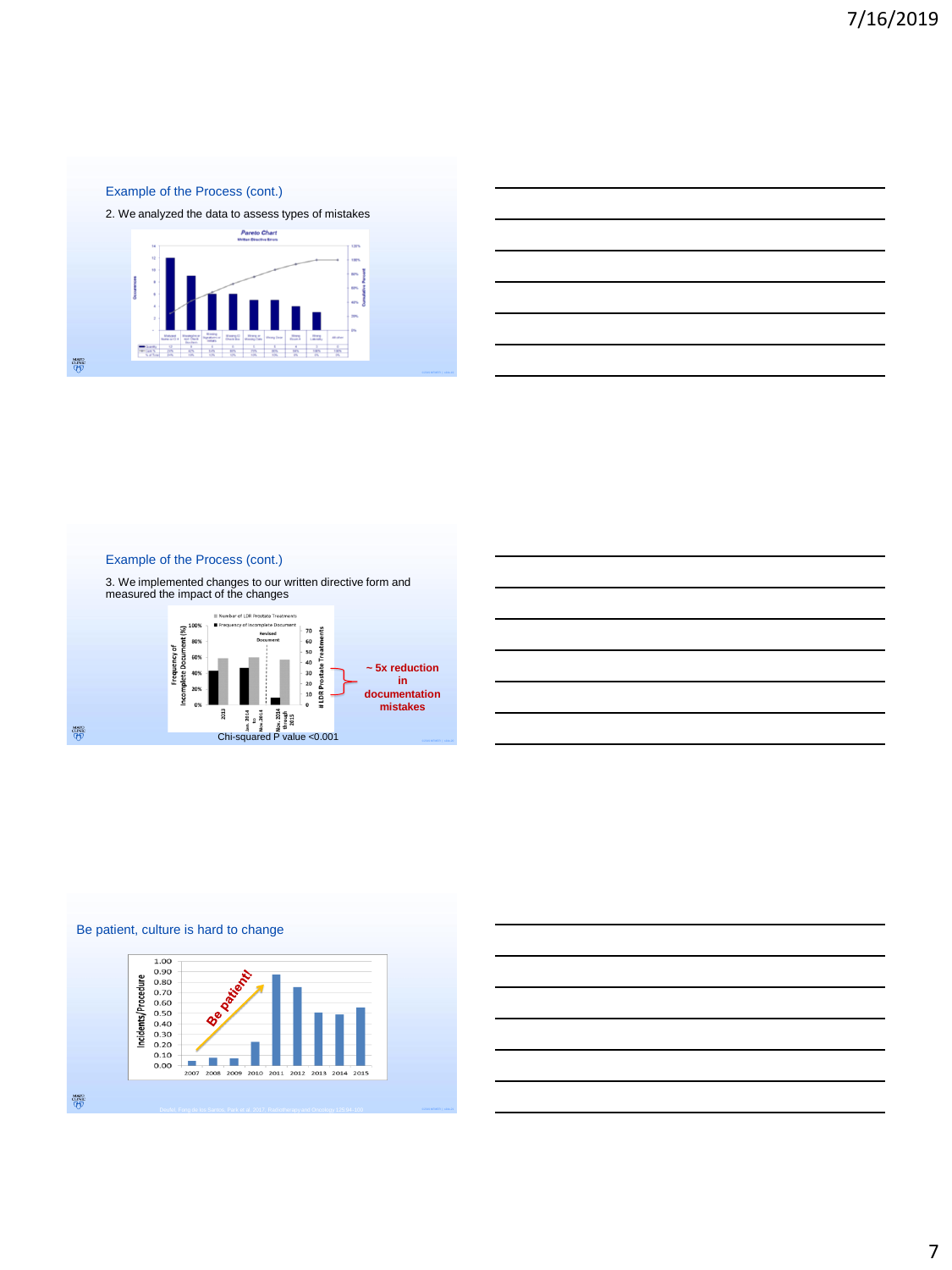## Example of the Process (cont.)

2. We analyzed the data to assess types of mistakes



|                                                                                                                        | the control of the control of the control of the control of the control of the control of the control of the control of the control of the control of the control of the control of the control of the control of the control |  |  |
|------------------------------------------------------------------------------------------------------------------------|-------------------------------------------------------------------------------------------------------------------------------------------------------------------------------------------------------------------------------|--|--|
|                                                                                                                        |                                                                                                                                                                                                                               |  |  |
| <u> 1989 - Johann Stoff, deutscher Stoffen und der Stoffen und der Stoffen und der Stoffen und der Stoffen und der</u> |                                                                                                                                                                                                                               |  |  |
|                                                                                                                        |                                                                                                                                                                                                                               |  |  |
|                                                                                                                        |                                                                                                                                                                                                                               |  |  |
|                                                                                                                        |                                                                                                                                                                                                                               |  |  |
|                                                                                                                        |                                                                                                                                                                                                                               |  |  |
|                                                                                                                        |                                                                                                                                                                                                                               |  |  |
|                                                                                                                        |                                                                                                                                                                                                                               |  |  |
|                                                                                                                        |                                                                                                                                                                                                                               |  |  |
|                                                                                                                        |                                                                                                                                                                                                                               |  |  |

## Example of the Process (cont.)







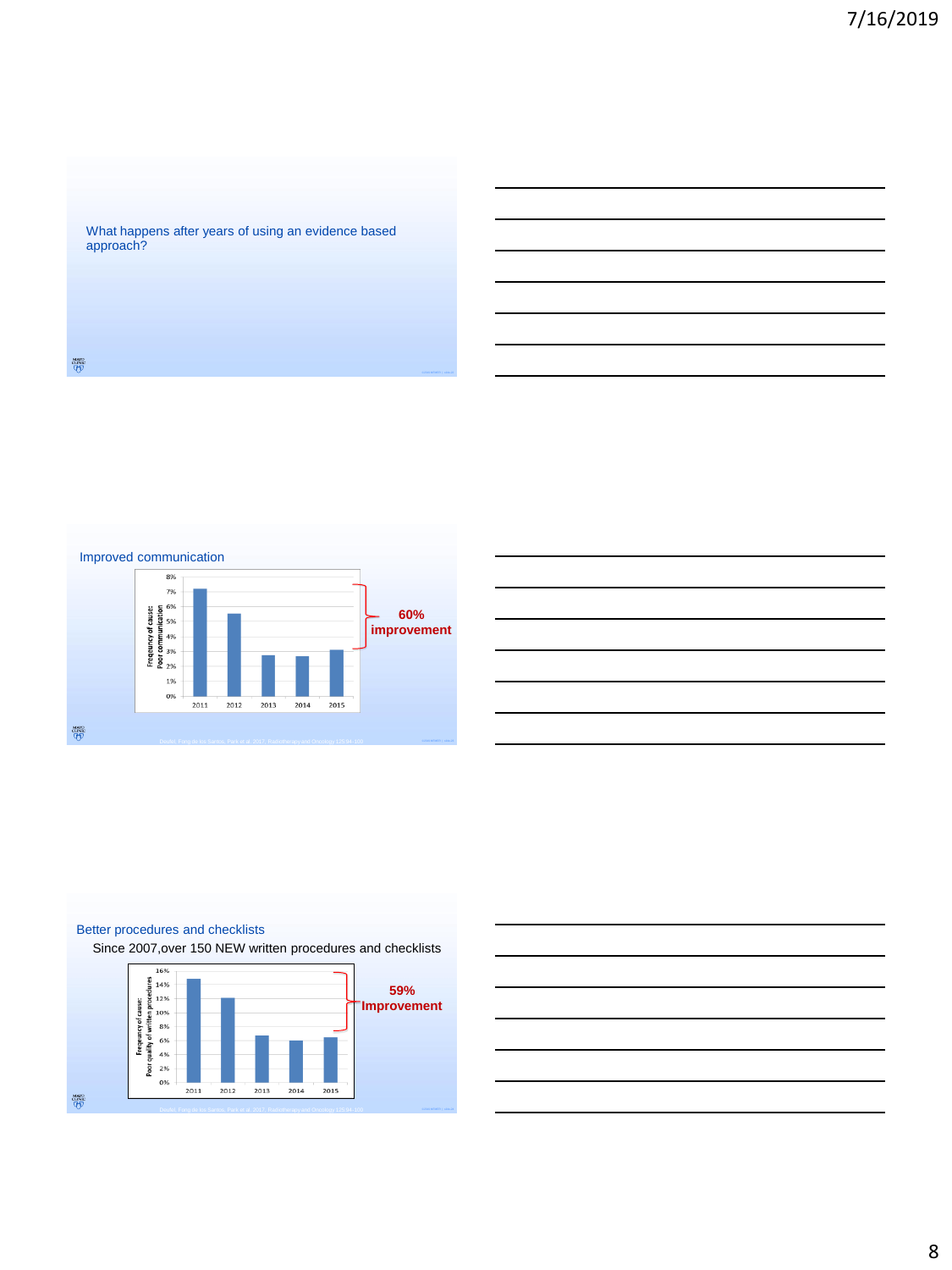What happens after years of using an evidence based approach?







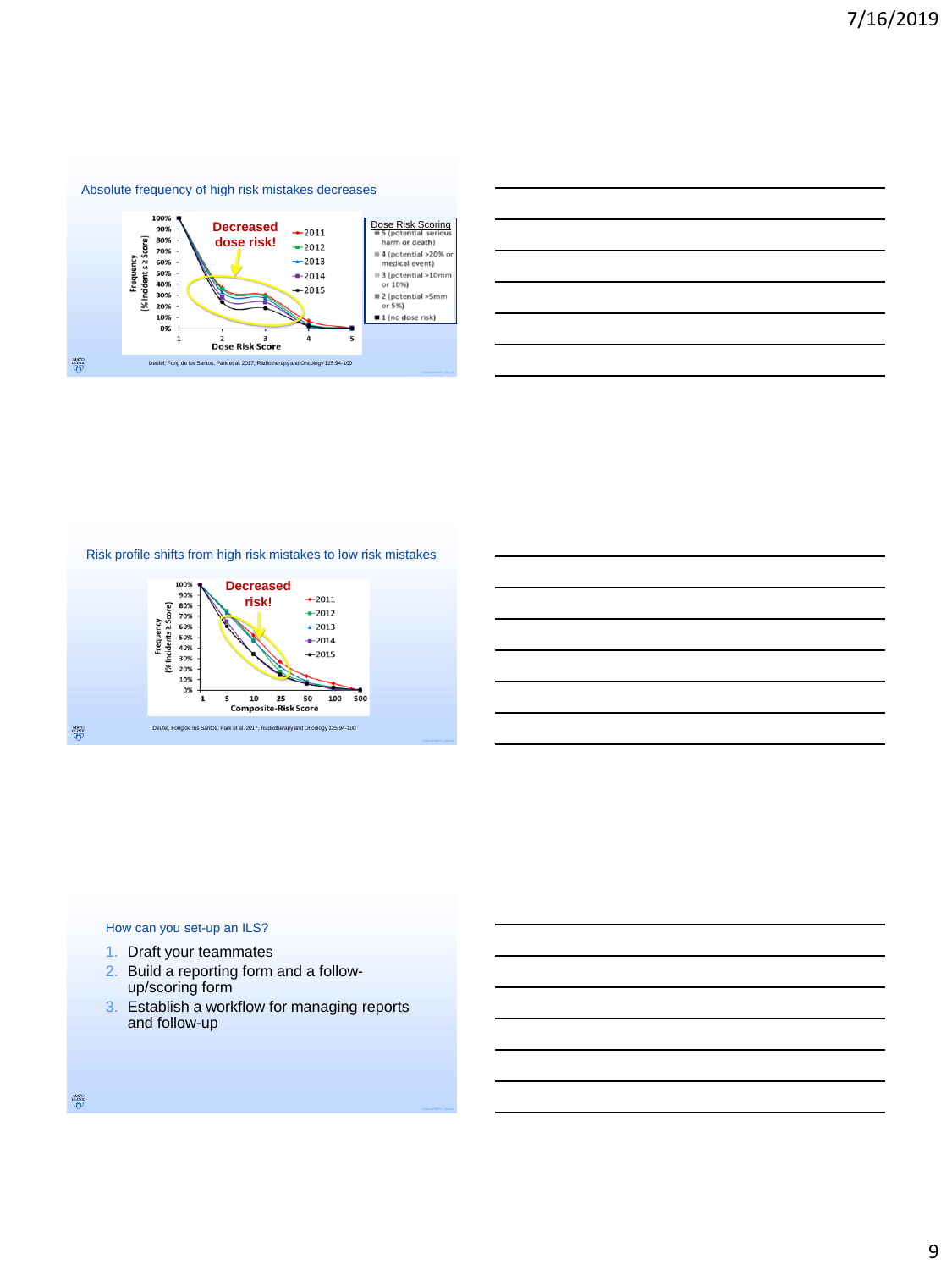

|                                                                                                                                                                                                                               |  | <u> 1989 - Johann Barn, amerikan bernama di sebagai bernama di sebagai bernama di sebagai bernama di sebagai bern</u> |
|-------------------------------------------------------------------------------------------------------------------------------------------------------------------------------------------------------------------------------|--|-----------------------------------------------------------------------------------------------------------------------|
|                                                                                                                                                                                                                               |  |                                                                                                                       |
| the control of the control of the control of the control of the control of the control of the control of the control of the control of the control of the control of the control of the control of the control of the control |  |                                                                                                                       |
|                                                                                                                                                                                                                               |  | <u> 1989 - Jan Salaman Salaman (j. 1989)</u>                                                                          |
|                                                                                                                                                                                                                               |  |                                                                                                                       |
|                                                                                                                                                                                                                               |  |                                                                                                                       |

Risk profile shifts from high risk mistakes to low risk mistakes



| <u> 1989 - Johann Barn, mars ann an t-Amhain ann an t-Amhain ann an t-Amhain ann an t-Amhain an t-Amhain ann an t-</u> |  |  |
|------------------------------------------------------------------------------------------------------------------------|--|--|
| <u> 1989 - Johann Barn, mars ann an t-Amhain ann an t-Amhain ann an t-Amhain ann an t-Amhain an t-Amhain ann an t-</u> |  |  |
| <u> 1989 - Johann Barn, mars ann an t-Amhain ann an t-Amhain ann an t-Amhain ann an t-Amhain an t-Amhain ann an t-</u> |  |  |
| <u> 1989 - Johann Barn, amerikan berkemanan bahasa di bahasa di bahasa di bahasa di bahasa di bahasa di bahasa d</u>   |  |  |
| <u> 1989 - Johann Barn, mars ann an t-Amhain ann an t-Amhain ann an t-Amhain ann an t-Amhain an t-Amhain ann an t-</u> |  |  |
| <u> 1989 - Andrea Andrew Maria (h. 1989).</u>                                                                          |  |  |
|                                                                                                                        |  |  |

## How can you set-up an ILS?

- 1. Draft your teammates
- 2. Build a reporting form and a followup/scoring form
- 3. Establish a workflow for managing reports and follow-up

 $\frac{\text{MAV}}{\text{QFD}}$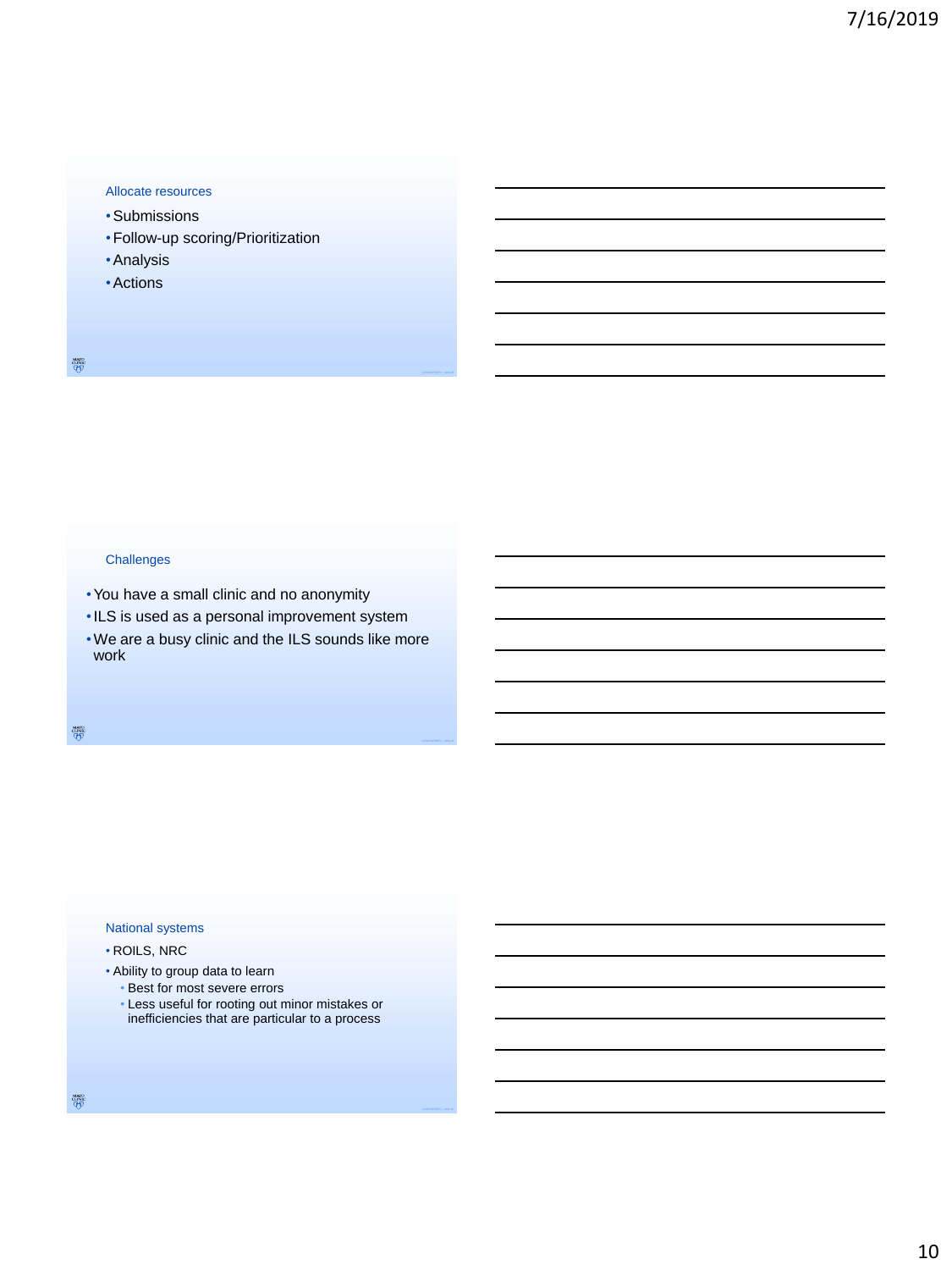#### Allocate resources

- •Submissions
- •Follow-up scoring/Prioritization
- •Analysis
- •Actions

## **Challenges**

- •You have a small clinic and no anonymity
- •ILS is used as a personal improvement system
- •We are a busy clinic and the ILS sounds like more work

 $\frac{\text{www}}{\text{cmnc}}$ 

## National systems

## • ROILS, NRC

- Ability to group data to learn
	- Best for most severe errors
	- Less useful for rooting out minor mistakes or inefficiencies that are particular to a process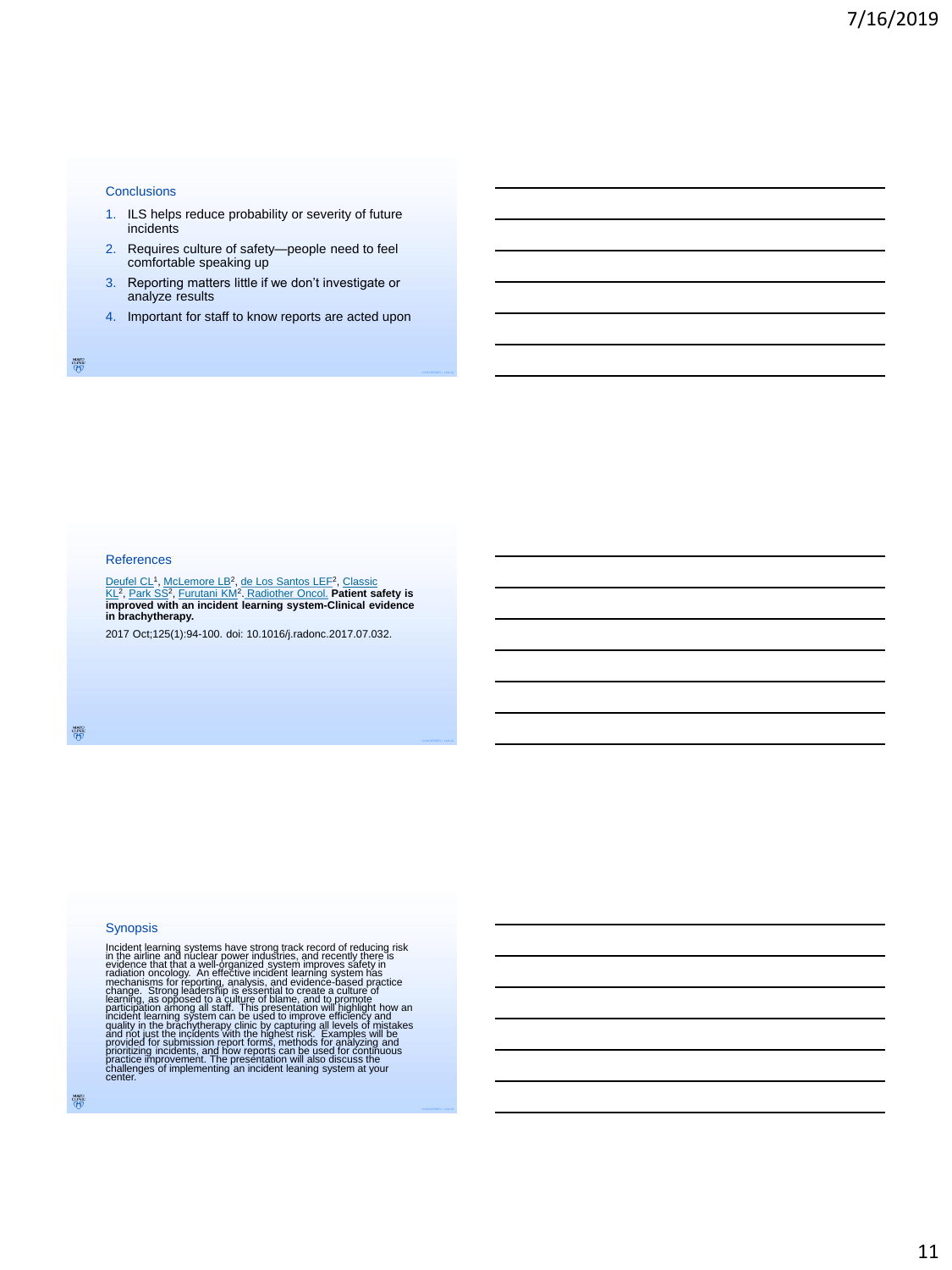#### **Conclusions**

- 1. ILS helps reduce probability or severity of future incidents
- 2. Requires culture of safety—people need to feel comfortable speaking up
- 3. Reporting matters little if we don't investigate or analyze results
- 4. Important for staff to know reports are acted upon

鬱

#### References

<u>[Deufel CL](https://www.ncbi.nlm.nih.gov/pubmed/?term=Deufel%20CL%5bAuthor%5d&cauthor=true&cauthor_uid=28823406)</u>1, <u>[McLemore LB](https://www.ncbi.nlm.nih.gov/pubmed/?term=McLemore%20LB%5bAuthor%5d&cauthor=true&cauthor_uid=28823406)</u>2, <u>[de Los Santos LEF](https://www.ncbi.nlm.nih.gov/pubmed/?term=Classic%20KL%5bAuthor%5d&cauthor=true&cauthor_uid=28823406)</u>2, <u>Classic</u><br><u>KL</u>2, [Park SS](https://www.ncbi.nlm.nih.gov/pubmed/?term=Park%20SS%5bAuthor%5d&cauthor=true&cauthor_uid=28823406)<sup>2</sup>, F<u>urutani KM</u>?. [Radiother](https://www.ncbi.nlm.nih.gov/pubmed/28823406) Oncol. **Patient safety is**<br>improved with an incident learning system-Clinical evidence **in brachytherapy.**

2017 Oct;125(1):94-100. doi: 10.1016/j.radonc.2017.07.032.

MANO<br>UNIX<br>UPIJ

## Synopsis

Incident learning systems have strong track record of reducing risk<br>in the airline and nuclear power industries, and recently there is<br>evidence that that a well-organized system improves safety in<br>radiation oncology. An ef